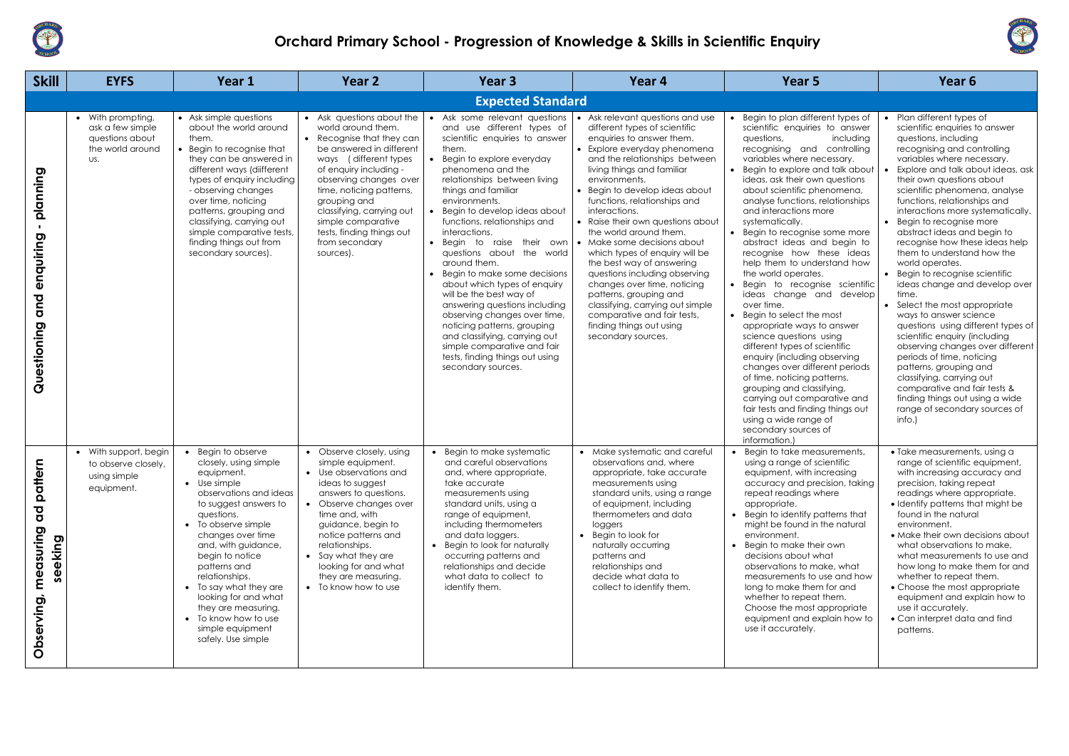

## **Orchard Primary School - Progression of Knowledge & Skills in Scientific Enquiry**

| <b>Skill</b>                                                                                     | <b>EYFS</b>                                                                         | Year 1                                                                                                                                                                                                                                                                                                                                                                                                    | Year <sub>2</sub>                                                                                                                                                                                                                                                                                                                                 | Year <sub>3</sub>                                                                                                                                                                                                                                                                                                                                                                                                                                                                                                                                                                                                                                                                                            | Year 4                                                                                                                                                                                                                                                                                                                                                                                                                                                                                                                                                                                                                                                                      | Year 5                                                                                                                                                                                                                                                                                                                                                                                                                                                                                                                                                                                                                                                                                                                                                                                                                                                                                                                                                                        | Year 6                                                                                                                                                                                                                                                                                                                                                                                                                                                                                                                                                                                                                                                                                                                                                                                                                                                                                                                  |
|--------------------------------------------------------------------------------------------------|-------------------------------------------------------------------------------------|-----------------------------------------------------------------------------------------------------------------------------------------------------------------------------------------------------------------------------------------------------------------------------------------------------------------------------------------------------------------------------------------------------------|---------------------------------------------------------------------------------------------------------------------------------------------------------------------------------------------------------------------------------------------------------------------------------------------------------------------------------------------------|--------------------------------------------------------------------------------------------------------------------------------------------------------------------------------------------------------------------------------------------------------------------------------------------------------------------------------------------------------------------------------------------------------------------------------------------------------------------------------------------------------------------------------------------------------------------------------------------------------------------------------------------------------------------------------------------------------------|-----------------------------------------------------------------------------------------------------------------------------------------------------------------------------------------------------------------------------------------------------------------------------------------------------------------------------------------------------------------------------------------------------------------------------------------------------------------------------------------------------------------------------------------------------------------------------------------------------------------------------------------------------------------------------|-------------------------------------------------------------------------------------------------------------------------------------------------------------------------------------------------------------------------------------------------------------------------------------------------------------------------------------------------------------------------------------------------------------------------------------------------------------------------------------------------------------------------------------------------------------------------------------------------------------------------------------------------------------------------------------------------------------------------------------------------------------------------------------------------------------------------------------------------------------------------------------------------------------------------------------------------------------------------------|-------------------------------------------------------------------------------------------------------------------------------------------------------------------------------------------------------------------------------------------------------------------------------------------------------------------------------------------------------------------------------------------------------------------------------------------------------------------------------------------------------------------------------------------------------------------------------------------------------------------------------------------------------------------------------------------------------------------------------------------------------------------------------------------------------------------------------------------------------------------------------------------------------------------------|
|                                                                                                  |                                                                                     |                                                                                                                                                                                                                                                                                                                                                                                                           |                                                                                                                                                                                                                                                                                                                                                   | <b>Expected Standard</b>                                                                                                                                                                                                                                                                                                                                                                                                                                                                                                                                                                                                                                                                                     |                                                                                                                                                                                                                                                                                                                                                                                                                                                                                                                                                                                                                                                                             |                                                                                                                                                                                                                                                                                                                                                                                                                                                                                                                                                                                                                                                                                                                                                                                                                                                                                                                                                                               |                                                                                                                                                                                                                                                                                                                                                                                                                                                                                                                                                                                                                                                                                                                                                                                                                                                                                                                         |
| planning<br>п.<br>enquiring<br>and<br>Questioning                                                | • With prompting,<br>ask a few simple<br>questions about<br>the world around<br>US. | • Ask simple questions<br>about the world around<br>them.<br>• Begin to recognise that<br>they can be answered in<br>different ways (diifferent<br>types of enquiry including<br>- observing changes<br>over time, noticing<br>patterns, grouping and<br>classifying, carrying out<br>simple comparative tests,<br>finding things out from<br>secondary sources).                                         | • Ask questions about the<br>world around them.<br>• Recognise that they can<br>be answered in different<br>ways (different types)<br>of enquiry including -<br>observing changes over<br>time, noticing patterns,<br>grouping and<br>classifying, carrying out<br>simple comparative<br>tests, finding things out<br>from secondary<br>sources). | Ask some relevant questions<br>and use different types of<br>scientific enquiries to answer<br>them.<br>Begin to explore everyday<br>phenomena and the<br>relationships between living<br>things and familiar<br>environments.<br>Begin to develop ideas about<br>functions, relationships and<br>interactions.<br>Begin to raise their own<br>questions about the world<br>around them.<br>Begin to make some decisions<br>about which types of enquiry<br>will be the best way of<br>answering questions including<br>observing changes over time,<br>noticing patterns, grouping<br>and classifying, carrying out<br>simple comparative and fair<br>tests, finding things out using<br>secondary sources. | Ask relevant questions and use<br>different types of scientific<br>enquiries to answer them.<br>• Explore everyday phenomena<br>and the relationships between<br>living things and familiar<br>environments.<br>• Begin to develop ideas about<br>functions, relationships and<br>interactions.<br>• Raise their own questions about<br>the world around them.<br>• Make some decisions about<br>which types of enquiry will be<br>the best way of answering<br>questions including observing<br>changes over time, noticing<br>patterns, grouping and<br>classifying, carrying out simple<br>comparative and fair tests,<br>finding things out using<br>secondary sources. | Begin to plan different types of<br>scientific enquiries to answer<br>questions,<br>including<br>recognising and controlling<br>variables where necessary.<br>• Begin to explore and talk about<br>ideas, ask their own questions<br>about scientific phenomena,<br>analyse functions, relationships<br>and interactions more<br>systematically.<br>• Begin to recognise some more<br>abstract ideas and begin to<br>recognise how these ideas<br>help them to understand how<br>the world operates.<br>· Begin to recognise scientific<br>ideas change and develop<br>over time.<br>• Begin to select the most<br>appropriate ways to answer<br>science questions using<br>different types of scientific<br>enquiry (including observing<br>changes over different periods<br>of time, noticing patterns,<br>grouping and classifying,<br>carrying out comparative and<br>fair tests and finding things out<br>using a wide range of<br>secondary sources of<br>information. | Plan different types of<br>scientific enquiries to answer<br>questions, including<br>recognising and controlling<br>variables where necessary.<br>Explore and talk about ideas, ask<br>their own questions about<br>scientific phenomena, analyse<br>functions, relationships and<br>interactions more systematically.<br>Begin to recognise more<br>abstract ideas and begin to<br>recognise how these ideas help<br>them to understand how the<br>world operates.<br>Begin to recognise scientific<br>ideas change and develop over<br>time.<br>Select the most appropriate<br>ways to answer science<br>questions using different types of<br>scientific enquiry (including<br>observing changes over different<br>periods of time, noticing<br>patterns, grouping and<br>classifying, carrying out<br>comparative and fair tests &<br>finding things out using a wide<br>range of secondary sources of<br>$info.$ ) |
| em<br>$\ddot{t}$<br>$\mathbf{\Omega}$<br>ਹ<br>$\sigma$<br>suring<br>seeking<br>mea<br>Observing, | • With support, begin<br>to observe closely,<br>using simple<br>equipment.          | Begin to observe<br>closely, using simple<br>equipment.<br>• Use simple<br>observations and ideas<br>to suggest answers to<br>questions.<br>• To observe simple<br>changes over time<br>and, with guidance,<br>begin to notice<br>patterns and<br>relationships.<br>To say what they are<br>looking for and what<br>they are measuring.<br>• To know how to use<br>simple equipment<br>safely. Use simple | • Observe closely, using<br>simple equipment.<br>Use observations and<br>ideas to suggest<br>answers to questions.<br>• Observe changes over<br>time and, with<br>guidance, begin to<br>notice patterns and<br>relationships.<br>• Say what they are<br>looking for and what<br>they are measuring.<br>• To know how to use                       | Begin to make systematic<br>and careful observations<br>and, where appropriate,<br>take accurate<br>measurements using<br>standard units, using a<br>range of equipment,<br>including thermometers<br>and data loggers.<br>Begin to look for naturally<br>occurring patterns and<br>relationships and decide<br>what data to collect to<br>identify them.                                                                                                                                                                                                                                                                                                                                                    | • Make systematic and careful<br>observations and, where<br>appropriate, take accurate<br>measurements using<br>standard units, using a range<br>of equipment, including<br>thermometers and data<br>loggers<br>• Begin to look for<br>naturally occurring<br>patterns and<br>relationships and<br>decide what data to<br>collect to identify them.                                                                                                                                                                                                                                                                                                                         | • Begin to take measurements,<br>using a range of scientific<br>equipment, with increasing<br>accuracy and precision, taking<br>repeat readings where<br>appropriate.<br>• Begin to identify patterns that<br>might be found in the natural<br>environment.<br>Begin to make their own<br>decisions about what<br>observations to make, what<br>measurements to use and how<br>long to make them for and<br>whether to repeat them.<br>Choose the most appropriate<br>equipment and explain how to<br>use it accurately.                                                                                                                                                                                                                                                                                                                                                                                                                                                      | • Take measurements, using a<br>range of scientific equipment,<br>with increasing accuracy and<br>precision, taking repeat<br>readings where appropriate.<br>• Identify patterns that might be<br>found in the natural<br>environment.<br>• Make their own decisions about<br>what observations to make,<br>what measurements to use and<br>how long to make them for and<br>whether to repeat them.<br>• Choose the most appropriate<br>equipment and explain how to<br>use it accurately.<br>• Can interpret data and find<br>patterns.                                                                                                                                                                                                                                                                                                                                                                               |

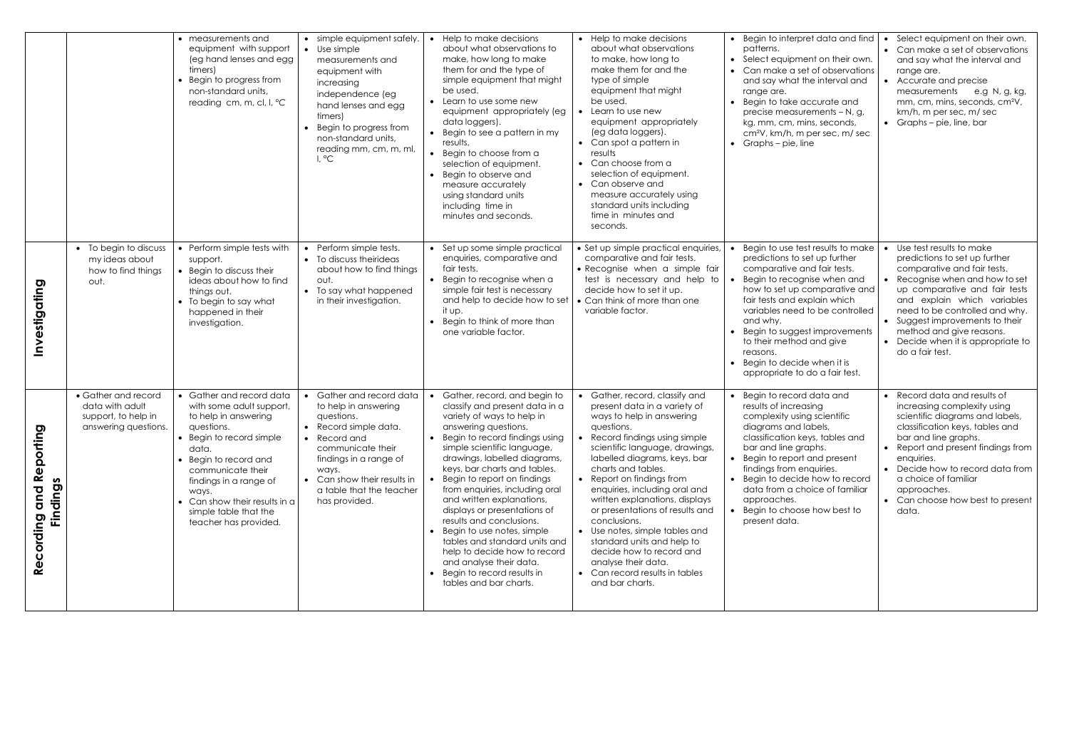|                                                                  |                                                                                       | • measurements and<br>equipment with support<br>(eg hand lenses and egg<br>timers)<br>Begin to progress from<br>non-standard units,<br>reading cm, m, cl, l, °C                                                                                                                                 | • simple equipment safely.<br>• Use simple<br>measurements and<br>equipment with<br>increasing<br>independence (eg<br>hand lenses and egg<br>timers)<br>• Begin to progress from<br>non-standard units,<br>reading mm, cm, m, ml,<br>I, °C  | Help to make decisions<br>about what observations to<br>make, how long to make<br>them for and the type of<br>simple equipment that might<br>be used.<br>• Learn to use some new<br>equipment appropriately (eg<br>data loggers).<br>Begin to see a pattern in my<br>results.<br>Begin to choose from a<br>selection of equipment.<br>Begin to observe and<br>measure accurately<br>using standard units<br>including time in<br>minutes and seconds.                                                                                                                                             | • Help to make decisions<br>about what observations<br>to make, how long to<br>make them for and the<br>type of simple<br>equipment that might<br>be used.<br>Learn to use new<br>equipment appropriately<br>(eg data loggers).<br>• Can spot a pattern in<br>results<br>• Can choose from a<br>selection of equipment.<br>• Can observe and<br>measure accurately using<br>standard units including<br>time in minutes and<br>seconds.                                                                                                                      | • Begin to interpret data and find<br>patterns.<br>• Select equipment on their own.<br>• Can make a set of observations<br>and say what the interval and<br>range are.<br>• Begin to take accurate and<br>precise measurements - N, g,<br>kg, mm, cm, mins, seconds,<br>cm <sup>2</sup> V, km/h, m per sec, m/ sec<br>• Graphs – pie, line                                                  | Select equipment on their own.<br>Can make a set of observations<br>and say what the interval and<br>range are.<br>Accurate and precise<br>measurements<br>e.g N, g, kg,<br>mm, cm, mins, seconds, cm <sup>2</sup> V,<br>km/h, m per sec, m/ sec<br>• Graphs $-$ pie, line, bar                                                                     |
|------------------------------------------------------------------|---------------------------------------------------------------------------------------|-------------------------------------------------------------------------------------------------------------------------------------------------------------------------------------------------------------------------------------------------------------------------------------------------|---------------------------------------------------------------------------------------------------------------------------------------------------------------------------------------------------------------------------------------------|---------------------------------------------------------------------------------------------------------------------------------------------------------------------------------------------------------------------------------------------------------------------------------------------------------------------------------------------------------------------------------------------------------------------------------------------------------------------------------------------------------------------------------------------------------------------------------------------------|--------------------------------------------------------------------------------------------------------------------------------------------------------------------------------------------------------------------------------------------------------------------------------------------------------------------------------------------------------------------------------------------------------------------------------------------------------------------------------------------------------------------------------------------------------------|---------------------------------------------------------------------------------------------------------------------------------------------------------------------------------------------------------------------------------------------------------------------------------------------------------------------------------------------------------------------------------------------|-----------------------------------------------------------------------------------------------------------------------------------------------------------------------------------------------------------------------------------------------------------------------------------------------------------------------------------------------------|
| Investigating                                                    | • To begin to discuss<br>my ideas about<br>how to find things<br>out.                 | Perform simple tests with<br>support.<br>Begin to discuss their<br>ideas about how to find<br>things out.<br>• To begin to say what<br>happened in their<br>investigation.                                                                                                                      | • Perform simple tests.<br>• To discuss theirideas<br>about how to find things<br>out.<br>• To say what happened<br>in their investigation.                                                                                                 | Set up some simple practical<br>enquiries, comparative and<br>fair tests.<br>• Begin to recognise when a<br>simple fair test is necessary<br>and help to decide how to set<br>it up.<br>Begin to think of more than<br>one variable factor.                                                                                                                                                                                                                                                                                                                                                       | • Set up simple practical enquiries,<br>comparative and fair tests.<br>• Recognise when a simple fair<br>test is necessary and help to<br>decide how to set it up.<br>• Can think of more than one<br>variable factor.                                                                                                                                                                                                                                                                                                                                       | Begin to use test results to make<br>predictions to set up further<br>comparative and fair tests.<br>Begin to recognise when and<br>how to set up comparative and<br>fair tests and explain which<br>variables need to be controlled<br>and why.<br>Begin to suggest improvements<br>to their method and give<br>reasons.<br>• Begin to decide when it is<br>appropriate to do a fair test. | Use test results to make<br>predictions to set up further<br>comparative and fair tests.<br>Recognise when and how to set<br>up comparative and fair tests<br>and explain which variables<br>need to be controlled and why.<br>• Suggest improvements to their<br>method and give reasons.<br>• Decide when it is appropriate to<br>do a fair test. |
| <u>ଦ</u><br>Reportin<br>S<br><b>Findings</b><br>and<br>Recording | • Gather and record<br>data with adult<br>support, to help in<br>answering questions. | Gather and record data<br>with some adult support,<br>to help in answering<br>questions.<br>• Begin to record simple<br>data.<br>Begin to record and<br>communicate their<br>findings in a range of<br>ways.<br>• Can show their results in a<br>simple table that the<br>teacher has provided. | • Gather and record data<br>to help in answering<br>questions.<br>• Record simple data.<br>• Record and<br>communicate their<br>findings in a range of<br>ways.<br>• Can show their results in<br>a table that the teacher<br>has provided. | Gather, record, and begin to<br>classify and present data in a<br>variety of ways to help in<br>answering questions.<br>Begin to record findings using<br>simple scientific language,<br>drawings, labelled diagrams,<br>keys, bar charts and tables.<br>Begin to report on findings<br>from enquiries, including oral<br>and written explanations,<br>displays or presentations of<br>results and conclusions.<br>Begin to use notes, simple<br>tables and standard units and<br>help to decide how to record<br>and analyse their data.<br>Begin to record results in<br>tables and bar charts. | Gather, record, classify and<br>present data in a variety of<br>ways to help in answering<br>questions.<br>• Record findings using simple<br>scientific language, drawings,<br>labelled diagrams, keys, bar<br>charts and tables.<br>• Report on findings from<br>enquiries, including oral and<br>written explanations, displays<br>or presentations of results and<br>conclusions.<br>• Use notes, simple tables and<br>standard units and help to<br>decide how to record and<br>analyse their data.<br>• Can record results in tables<br>and bar charts. | • Begin to record data and<br>results of increasing<br>complexity using scientific<br>diagrams and labels,<br>classification keys, tables and<br>bar and line graphs.<br>• Begin to report and present<br>findings from enquiries.<br>• Begin to decide how to record<br>data from a choice of familiar<br>approaches.<br>• Begin to choose how best to<br>present data.                    | • Record data and results of<br>increasing complexity using<br>scientific diagrams and labels,<br>classification keys, tables and<br>bar and line graphs.<br>• Report and present findings from<br>enquiries.<br>Decide how to record data from<br>a choice of familiar<br>approaches.<br>Can choose how best to present<br>$\bullet$<br>data.      |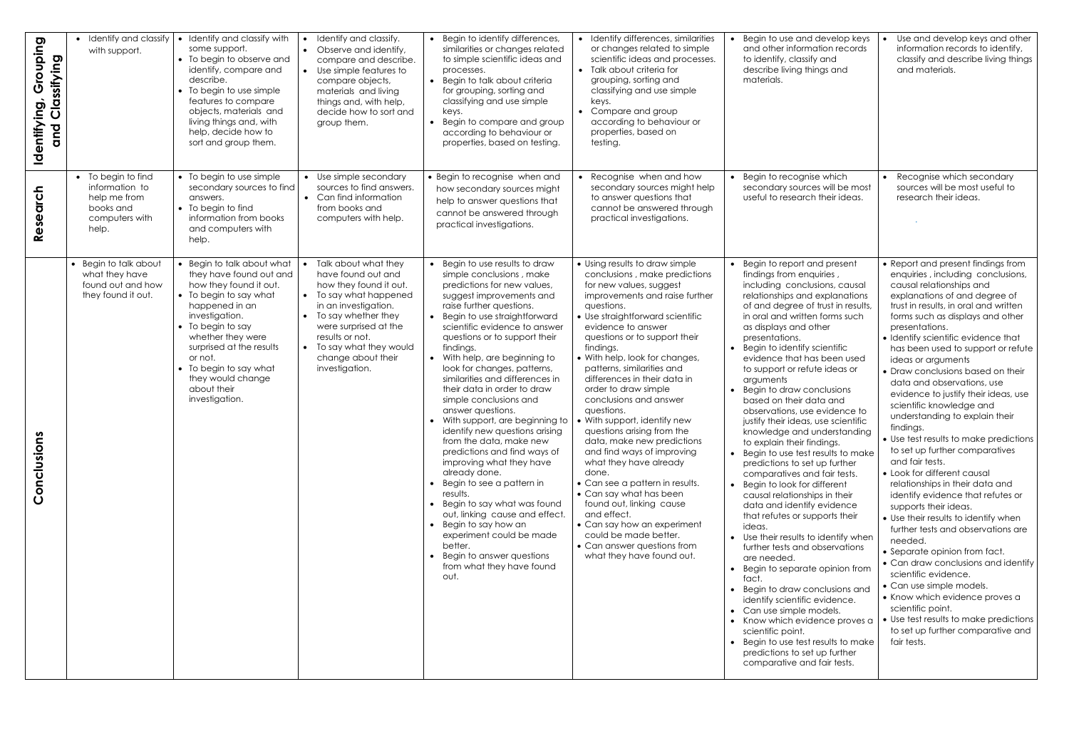| Grouping<br>Classifying<br>Identifying<br>and | • Identify and classify<br>with support.                                                     | • Identify and classify with<br>some support.<br>$\bullet$<br>• To begin to observe and<br>identify, compare and<br>$\bullet$<br>describe.<br>• To begin to use simple<br>features to compare<br>objects, materials and<br>living things and, with<br>help, decide how to<br>sort and group them.                                        | Identify and classify.<br>Observe and identify,<br>compare and describe.<br>Use simple features to<br>compare objects,<br>materials and living<br>things and, with help,<br>decide how to sort and<br>group them.                                         | Begin to identify differences,<br>similarities or changes related<br>to simple scientific ideas and<br>processes.<br>Begin to talk about criteria<br>for grouping, sorting and<br>classifying and use simple<br>keys.<br>Begin to compare and group<br>according to behaviour or<br>properties, based on testing.                                                                                                                                                                                                                                                                                                                                                                                                                                                                                                                                                           | • Identify differences, similarities<br>or changes related to simple<br>scientific ideas and processes.<br>• Talk about criteria for<br>grouping, sorting and<br>classifying and use simple<br>keys.<br>• Compare and group<br>according to behaviour or<br>properties, based on<br>testing.                                                                                                                                                                                                                                                                                                                                                                                                                                                                                                                 | Begin to use and develop keys<br>and other information records<br>to identify, classify and<br>describe living things and<br>materials.                                                                                                                                                                                                                                                                                                                                                                                                                                                                                                                                                                                                                                                                                                                                                                                                                                                                                                                                                                                                                                                                               | Use and develop keys and other<br>information records to identify,<br>classify and describe living things<br>and materials.                                                                                                                                                                                                                                                                                                                                                                                                                                                                                                                                                                                                                                                                                                                                                                                                                                                                                                                                                                                                           |
|-----------------------------------------------|----------------------------------------------------------------------------------------------|------------------------------------------------------------------------------------------------------------------------------------------------------------------------------------------------------------------------------------------------------------------------------------------------------------------------------------------|-----------------------------------------------------------------------------------------------------------------------------------------------------------------------------------------------------------------------------------------------------------|-----------------------------------------------------------------------------------------------------------------------------------------------------------------------------------------------------------------------------------------------------------------------------------------------------------------------------------------------------------------------------------------------------------------------------------------------------------------------------------------------------------------------------------------------------------------------------------------------------------------------------------------------------------------------------------------------------------------------------------------------------------------------------------------------------------------------------------------------------------------------------|--------------------------------------------------------------------------------------------------------------------------------------------------------------------------------------------------------------------------------------------------------------------------------------------------------------------------------------------------------------------------------------------------------------------------------------------------------------------------------------------------------------------------------------------------------------------------------------------------------------------------------------------------------------------------------------------------------------------------------------------------------------------------------------------------------------|-----------------------------------------------------------------------------------------------------------------------------------------------------------------------------------------------------------------------------------------------------------------------------------------------------------------------------------------------------------------------------------------------------------------------------------------------------------------------------------------------------------------------------------------------------------------------------------------------------------------------------------------------------------------------------------------------------------------------------------------------------------------------------------------------------------------------------------------------------------------------------------------------------------------------------------------------------------------------------------------------------------------------------------------------------------------------------------------------------------------------------------------------------------------------------------------------------------------------|---------------------------------------------------------------------------------------------------------------------------------------------------------------------------------------------------------------------------------------------------------------------------------------------------------------------------------------------------------------------------------------------------------------------------------------------------------------------------------------------------------------------------------------------------------------------------------------------------------------------------------------------------------------------------------------------------------------------------------------------------------------------------------------------------------------------------------------------------------------------------------------------------------------------------------------------------------------------------------------------------------------------------------------------------------------------------------------------------------------------------------------|
| arch<br>Reser                                 | • To begin to find<br>information to<br>help me from<br>books and<br>computers with<br>help. | • To begin to use simple<br>secondary sources to find<br>answers.<br>• To begin to find<br>information from books<br>and computers with<br>help.                                                                                                                                                                                         | • Use simple secondary<br>sources to find answers.<br>• Can find information<br>from books and<br>computers with help.                                                                                                                                    | • Begin to recognise when and<br>how secondary sources might<br>help to answer questions that<br>cannot be answered through<br>practical investigations.                                                                                                                                                                                                                                                                                                                                                                                                                                                                                                                                                                                                                                                                                                                    | • Recognise when and how<br>secondary sources might help<br>to answer questions that<br>cannot be answered through<br>practical investigations.                                                                                                                                                                                                                                                                                                                                                                                                                                                                                                                                                                                                                                                              | • Begin to recognise which<br>secondary sources will be most<br>useful to research their ideas.                                                                                                                                                                                                                                                                                                                                                                                                                                                                                                                                                                                                                                                                                                                                                                                                                                                                                                                                                                                                                                                                                                                       | Recognise which secondary<br>sources will be most useful to<br>research their ideas.                                                                                                                                                                                                                                                                                                                                                                                                                                                                                                                                                                                                                                                                                                                                                                                                                                                                                                                                                                                                                                                  |
| onclusions<br>$\overline{O}$                  | • Begin to talk about<br>what they have<br>found out and how<br>they found it out.           | • Begin to talk about what<br>they have found out and<br>how they found it out.<br>• To begin to say what<br>$\bullet$<br>happened in an<br>investigation.<br>$\bullet$<br>• To begin to say<br>whether they were<br>surprised at the results<br>or not.<br>• To begin to say what<br>they would change<br>about their<br>investigation. | Talk about what they<br>have found out and<br>how they found it out.<br>To say what happened<br>in an investigation.<br>To say whether they<br>were surprised at the<br>results or not.<br>To say what they would<br>change about their<br>investigation. | • Begin to use results to draw<br>simple conclusions, make<br>predictions for new values,<br>suggest improvements and<br>raise further questions.<br>Begin to use straightforward<br>scientific evidence to answer<br>questions or to support their<br>findings.<br>• With help, are beginning to<br>look for changes, patterns,<br>similarities and differences in<br>their data in order to draw<br>simple conclusions and<br>answer questions.<br>With support, are beginning to<br>identify new questions arising<br>from the data, make new<br>predictions and find ways of<br>improving what they have<br>already done.<br>Begin to see a pattern in<br>results.<br>• Begin to say what was found<br>out, linking cause and effect.<br>• Begin to say how an<br>experiment could be made<br>better.<br>Begin to answer questions<br>from what they have found<br>out. | • Using results to draw simple<br>conclusions, make predictions<br>for new values, suggest<br>improvements and raise further<br>questions.<br>• Use straightforward scientific<br>evidence to answer<br>questions or to support their<br>findings.<br>• With help, look for changes,<br>patterns, similarities and<br>differences in their data in<br>order to draw simple<br>conclusions and answer<br>questions.<br>• With support, identify new<br>questions arising from the<br>data, make new predictions<br>and find ways of improving<br>what they have already<br>done.<br>• Can see a pattern in results.<br>• Can say what has been<br>found out, linking cause<br>and effect.<br>• Can say how an experiment<br>could be made better.<br>• Can answer questions from<br>what they have found out. | • Begin to report and present<br>findings from enquiries,<br>including conclusions, causal<br>relationships and explanations<br>of and degree of trust in results,<br>in oral and written forms such<br>as displays and other<br>presentations.<br>• Begin to identify scientific<br>evidence that has been used<br>to support or refute ideas or<br>arguments<br>• Begin to draw conclusions<br>based on their data and<br>observations, use evidence to<br>justify their ideas, use scientific<br>knowledge and understanding<br>to explain their findings.<br>• Begin to use test results to make<br>predictions to set up further<br>comparatives and fair tests.<br>• Begin to look for different<br>causal relationships in their<br>data and identify evidence<br>that refutes or supports their<br>ideas.<br>• Use their results to identify when<br>further tests and observations<br>are needed.<br>• Begin to separate opinion from<br>fact.<br>• Begin to draw conclusions and<br>identify scientific evidence.<br>• Can use simple models.<br>• Know which evidence proves a<br>scientific point.<br>• Begin to use test results to make<br>predictions to set up further<br>comparative and fair tests. | • Report and present findings from<br>enquiries, including conclusions,<br>causal relationships and<br>explanations of and degree of<br>trust in results, in oral and written<br>forms such as displays and other<br>presentations.<br>• Identify scientific evidence that<br>has been used to support or refute<br>ideas or arguments<br>• Draw conclusions based on their<br>data and observations, use<br>evidence to justify their ideas, use<br>scientific knowledge and<br>understanding to explain their<br>findings.<br>• Use test results to make predictions<br>to set up further comparatives<br>and fair tests.<br>• Look for different causal<br>relationships in their data and<br>identify evidence that refutes or<br>supports their ideas.<br>• Use their results to identify when<br>further tests and observations are<br>needed.<br>• Separate opinion from fact.<br>• Can draw conclusions and identify<br>scientific evidence.<br>• Can use simple models.<br>• Know which evidence proves a<br>scientific point.<br>• Use test results to make predictions<br>to set up further comparative and<br>fair tests. |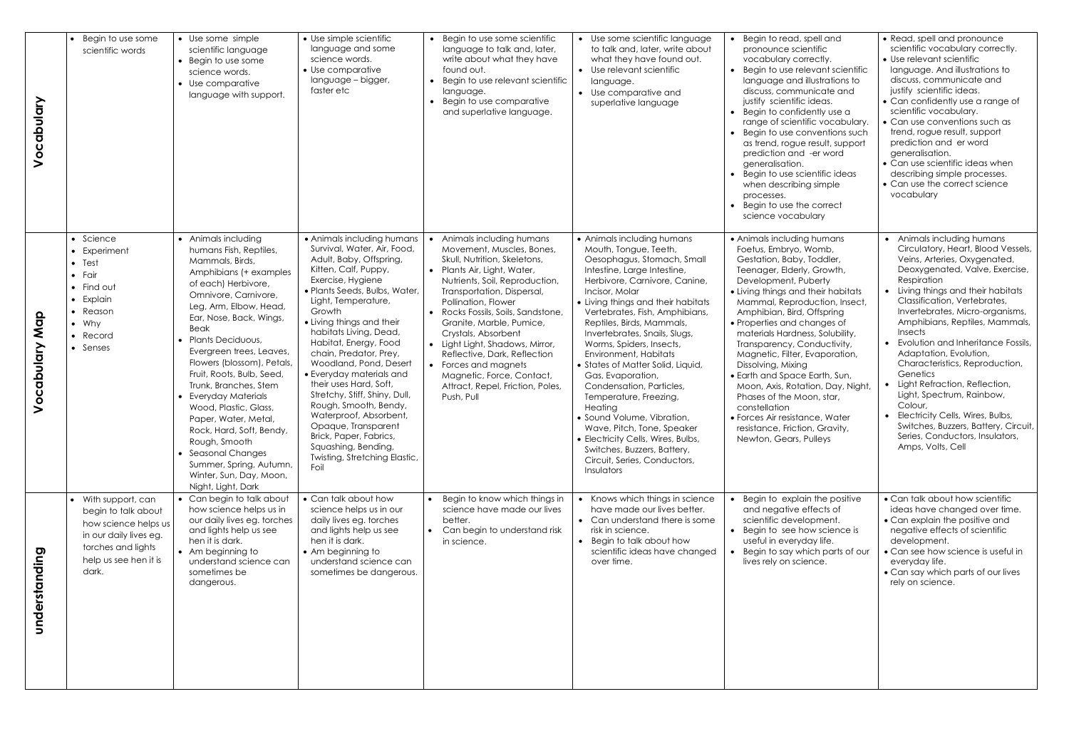| Vocabulary        | Begin to use some<br>scientific words                                                                                                                | • Use some simple<br>scientific language<br>• Begin to use some<br>science words.<br>• Use comparative<br>language with support.                                                                                                                                                                                                                                                                                                                                                                                                                                     | • Use simple scientific<br>language and some<br>science words.<br>• Use comparative<br>language - bigger,<br>faster etc                                                                                                                                                                                                                                                                                                                                                                                                                                                                           | • Begin to use some scientific<br>language to talk and, later,<br>write about what they have<br>found out.<br>• Begin to use relevant scientific<br>language.<br>• Begin to use comparative<br>and superlative language.                                                                                                                                                                                                                                                       | • Use some scientific language<br>to talk and, later, write about<br>what they have found out.<br>• Use relevant scientific<br>language.<br>• Use comparative and<br>superlative language                                                                                                                                                                                                                                                                                                                                                                                                                                                                                | • Begin to read, spell and<br>pronounce scientific<br>vocabulary correctly.<br>• Begin to use relevant scientific<br>language and illustrations to<br>discuss, communicate and<br>justify scientific ideas.<br>• Begin to confidently use a<br>range of scientific vocabulary.<br>• Begin to use conventions such<br>as trend, rogue result, support<br>prediction and -er word<br>generalisation.<br>• Begin to use scientific ideas<br>when describing simple<br>processes.<br>• Begin to use the correct<br>science vocabulary                                                                                      | • Read, spell and pronounce<br>scientific vocabulary correctly.<br>• Use relevant scientific<br>language. And illustrations to<br>discuss, communicate and<br>justify scientific ideas.<br>• Can confidently use a range of<br>scientific vocabulary.<br>• Can use conventions such as<br>trend, rogue result, support<br>prediction and er word<br>generalisation.<br>• Can use scientific ideas when<br>describing simple processes.<br>• Can use the correct science<br>vocabulary                                                                                                                                                     |
|-------------------|------------------------------------------------------------------------------------------------------------------------------------------------------|----------------------------------------------------------------------------------------------------------------------------------------------------------------------------------------------------------------------------------------------------------------------------------------------------------------------------------------------------------------------------------------------------------------------------------------------------------------------------------------------------------------------------------------------------------------------|---------------------------------------------------------------------------------------------------------------------------------------------------------------------------------------------------------------------------------------------------------------------------------------------------------------------------------------------------------------------------------------------------------------------------------------------------------------------------------------------------------------------------------------------------------------------------------------------------|--------------------------------------------------------------------------------------------------------------------------------------------------------------------------------------------------------------------------------------------------------------------------------------------------------------------------------------------------------------------------------------------------------------------------------------------------------------------------------|--------------------------------------------------------------------------------------------------------------------------------------------------------------------------------------------------------------------------------------------------------------------------------------------------------------------------------------------------------------------------------------------------------------------------------------------------------------------------------------------------------------------------------------------------------------------------------------------------------------------------------------------------------------------------|------------------------------------------------------------------------------------------------------------------------------------------------------------------------------------------------------------------------------------------------------------------------------------------------------------------------------------------------------------------------------------------------------------------------------------------------------------------------------------------------------------------------------------------------------------------------------------------------------------------------|-------------------------------------------------------------------------------------------------------------------------------------------------------------------------------------------------------------------------------------------------------------------------------------------------------------------------------------------------------------------------------------------------------------------------------------------------------------------------------------------------------------------------------------------------------------------------------------------------------------------------------------------|
| Map<br>Vocabulary | Science<br>Experiment<br>$\bullet$ Test<br>$\bullet$ Fair<br>• Find out<br>Explain<br>Reason<br>$\bullet$<br>$\bullet$ Why<br>Record<br>• Senses     | • Animals including<br>humans Fish, Reptiles,<br>Mammals, Birds,<br>Amphibians (+ examples<br>of each) Herbivore,<br>Omnivore, Carnivore,<br>Leg, Arm, Elbow, Head,<br>Ear, Nose, Back, Wings,<br>Beak<br>· Plants Deciduous,<br>Evergreen trees, Leaves,<br>Flowers (blossom), Petals,<br>Fruit, Roots, Bulb, Seed<br>Trunk, Branches, Stem<br>• Everyday Materials<br>Wood, Plastic, Glass,<br>Paper, Water, Metal,<br>Rock, Hard, Soft, Bendy,<br>Rough, Smooth<br>• Seasonal Changes<br>Summer, Spring, Autumn,<br>Winter, Sun, Day, Moon,<br>Night, Light, Dark | • Animals including humans<br>Survival, Water, Air, Food,<br>Adult, Baby, Offspring,<br>Kitten, Calf, Puppy,<br>Exercise, Hygiene<br>· Plants Seeds, Bulbs, Water<br>Light, Temperature,<br>Growth<br>• Living things and their<br>habitats Living, Dead,<br>Habitat, Energy, Food<br>chain, Predator, Prey,<br>Woodland, Pond, Desert<br>• Everyday materials and<br>their uses Hard, Soft,<br>Stretchy, Stiff, Shiny, Dull,<br>Rough, Smooth, Bendy,<br>Waterproof, Absorbent,<br>Opaque, Transparent<br>Brick, Paper, Fabrics,<br>Squashing, Bending,<br>Twisting, Stretching Elastic,<br>Foil | Animals including humans<br>Movement, Muscles, Bones,<br>Skull, Nutrition, Skeletons,<br>• Plants Air, Light, Water,<br>Nutrients, Soil, Reproduction,<br>Transportation, Dispersal,<br>Pollination, Flower<br>• Rocks Fossils, Soils, Sandstone,<br>Granite, Marble, Pumice,<br>Crystals, Absorbent<br>• Light Light, Shadows, Mirror,<br>Reflective, Dark, Reflection<br>• Forces and magnets<br>Magnetic, Force, Contact,<br>Attract, Repel, Friction, Poles,<br>Push, Pull | • Animals including humans<br>Mouth, Tongue, Teeth,<br>Oesophagus, Stomach, Small<br>Intestine, Large Intestine,<br>Herbivore, Carnivore, Canine,<br>Incisor, Molar<br>• Living things and their habitats<br>Vertebrates, Fish, Amphibians,<br>Reptiles, Birds, Mammals,<br>Invertebrates, Snails, Slugs,<br>Worms, Spiders, Insects,<br>Environment, Habitats<br>• States of Matter Solid, Liquid,<br>Gas, Evaporation,<br>Condensation, Particles,<br>Temperature, Freezing,<br>Heating<br>• Sound Volume, Vibration,<br>Wave, Pitch, Tone, Speaker<br>• Electricity Cells, Wires, Bulbs,<br>Switches, Buzzers, Battery,<br>Circuit, Series, Conductors,<br>Insulators | • Animals including humans<br>Foetus, Embryo, Womb,<br>Gestation, Baby, Toddler,<br>Teenager, Elderly, Growth,<br>Development, Puberty<br>• Living things and their habitats<br>Mammal, Reproduction, Insect,<br>Amphibian, Bird, Offspring<br>• Properties and changes of<br>materials Hardness, Solubility,<br>Transparency, Conductivity,<br>Magnetic, Filter, Evaporation,<br>Dissolving, Mixing<br>• Earth and Space Earth, Sun,<br>Moon, Axis, Rotation, Day, Night,<br>Phases of the Moon, star,<br>constellation<br>· Forces Air resistance, Water<br>resistance, Friction, Gravity,<br>Newton, Gears, Pulleys | • Animals including humans<br>Circulatory, Heart, Blood Vessels,<br>Veins, Arteries, Oxygenated,<br>Deoxygenated, Valve, Exercise,<br>Respiration<br>• Living things and their habitats<br>Classification, Vertebrates,<br>Invertebrates, Micro-organisms,<br>Amphibians, Reptiles, Mammals,<br><b>Insects</b><br>Evolution and Inheritance Fossils,<br>Adaptation, Evolution,<br>Characteristics, Reproduction,<br>Genetics<br>Light Refraction, Reflection,<br>Light, Spectrum, Rainbow,<br>Colour,<br>Electricity Cells, Wires, Bulbs,<br>Switches, Buzzers, Battery, Circuit,<br>Series, Conductors, Insulators,<br>Amps, Volts, Cell |
| understanding     | • With support, can<br>begin to talk about<br>how science helps us<br>in our daily lives eg.<br>torches and lights<br>help us see hen it is<br>dark. | • Can begin to talk about<br>how science helps us in<br>our daily lives eg. torches<br>and lights help us see<br>hen it is dark.<br>• Am beginning to<br>understand science can<br>sometimes be<br>dangerous.                                                                                                                                                                                                                                                                                                                                                        | • Can talk about how<br>science helps us in our<br>daily lives eg. torches<br>and lights help us see<br>hen it is dark.<br>• Am beginning to<br>understand science can<br>sometimes be dangerous.                                                                                                                                                                                                                                                                                                                                                                                                 | Begin to know which things in<br>science have made our lives<br>better.<br>Can begin to understand risk<br>in science.                                                                                                                                                                                                                                                                                                                                                         | • Knows which things in science<br>have made our lives better.<br>• Can understand there is some<br>risk in science.<br>• Begin to talk about how<br>scientific ideas have changed<br>over time.                                                                                                                                                                                                                                                                                                                                                                                                                                                                         | • Begin to explain the positive<br>and negative effects of<br>scientific development.<br>• Begin to see how science is<br>useful in everyday life.<br>• Begin to say which parts of our<br>lives rely on science.                                                                                                                                                                                                                                                                                                                                                                                                      | • Can talk about how scientific<br>ideas have changed over time.<br>• Can explain the positive and<br>negative effects of scientific<br>development.<br>• Can see how science is useful in<br>everyday life.<br>• Can say which parts of our lives<br>rely on science.                                                                                                                                                                                                                                                                                                                                                                    |